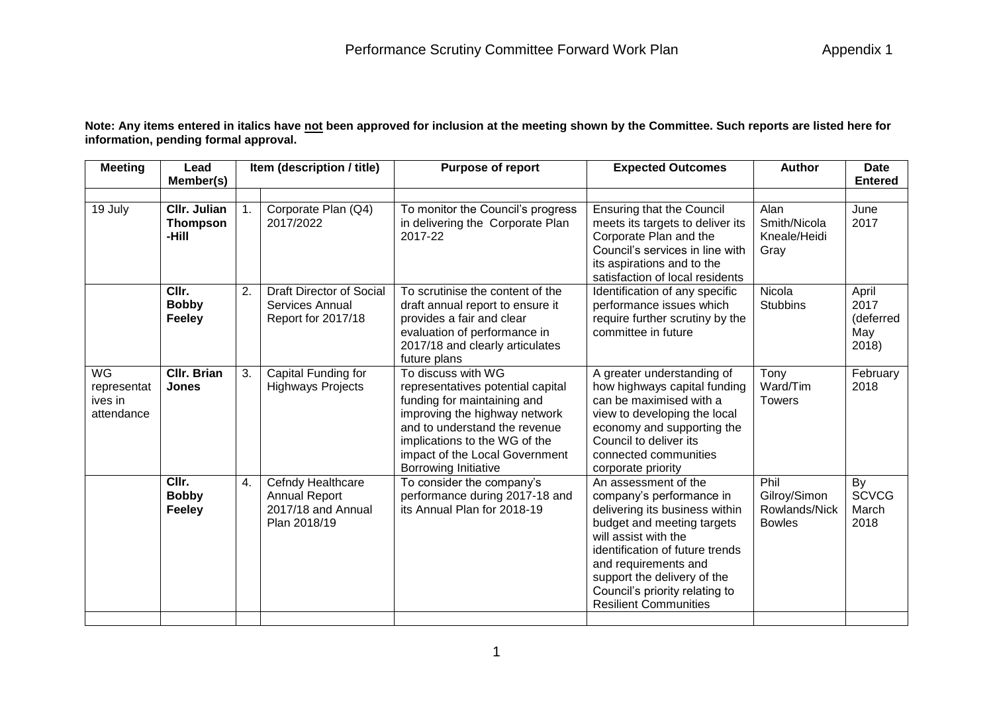**Note: Any items entered in italics have not been approved for inclusion at the meeting shown by the Committee. Such reports are listed here for information, pending formal approval.**

| Lead                                            |                    | Item (description / title)                                                      | <b>Purpose of report</b>                                                                                                                                                                                                    | <b>Expected Outcomes</b>                                                                                                                                                                                                                                                                             | <b>Author</b>                                          | <b>Date</b><br><b>Entered</b>              |
|-------------------------------------------------|--------------------|---------------------------------------------------------------------------------|-----------------------------------------------------------------------------------------------------------------------------------------------------------------------------------------------------------------------------|------------------------------------------------------------------------------------------------------------------------------------------------------------------------------------------------------------------------------------------------------------------------------------------------------|--------------------------------------------------------|--------------------------------------------|
|                                                 |                    |                                                                                 |                                                                                                                                                                                                                             |                                                                                                                                                                                                                                                                                                      |                                                        |                                            |
| <b>CIIr. Julian</b><br><b>Thompson</b><br>-Hill |                    | Corporate Plan (Q4)<br>2017/2022                                                | To monitor the Council's progress<br>in delivering the Corporate Plan<br>2017-22                                                                                                                                            | <b>Ensuring that the Council</b><br>meets its targets to deliver its<br>Corporate Plan and the<br>Council's services in line with<br>its aspirations and to the<br>satisfaction of local residents                                                                                                   | Alan<br>Smith/Nicola<br>Kneale/Heidi<br>Gray           | June<br>2017                               |
| <b>Bobby</b><br><b>Feeley</b>                   |                    | Services Annual<br>Report for 2017/18                                           | draft annual report to ensure it<br>provides a fair and clear<br>evaluation of performance in<br>2017/18 and clearly articulates<br>future plans                                                                            | Identification of any specific<br>performance issues which<br>require further scrutiny by the<br>committee in future                                                                                                                                                                                 | <b>Stubbins</b>                                        | April<br>2017<br>(deferred<br>May<br>2018) |
| <b>CIIr. Brian</b><br><b>Jones</b>              | 3.                 | Capital Funding for<br><b>Highways Projects</b>                                 | To discuss with WG<br>representatives potential capital<br>funding for maintaining and<br>improving the highway network<br>and to understand the revenue<br>implications to the WG of the<br>impact of the Local Government | A greater understanding of<br>how highways capital funding<br>can be maximised with a<br>view to developing the local<br>economy and supporting the<br>Council to deliver its<br>connected communities<br>corporate priority                                                                         | Tony<br>Ward/Tim<br><b>Towers</b>                      | February<br>2018                           |
| CIIr.<br><b>Bobby</b><br><b>Feeley</b>          | 4.                 | Cefndy Healthcare<br><b>Annual Report</b><br>2017/18 and Annual<br>Plan 2018/19 | To consider the company's<br>performance during 2017-18 and<br>its Annual Plan for 2018-19                                                                                                                                  | An assessment of the<br>company's performance in<br>delivering its business within<br>budget and meeting targets<br>will assist with the<br>identification of future trends<br>and requirements and<br>support the delivery of the<br>Council's priority relating to<br><b>Resilient Communities</b> | Phil<br>Gilroy/Simon<br>Rowlands/Nick<br><b>Bowles</b> | By<br><b>SCVCG</b><br>March<br>2018        |
|                                                 | Member(s)<br>CIIr. | 2.                                                                              | <b>Draft Director of Social</b>                                                                                                                                                                                             | To scrutinise the content of the<br>Borrowing Initiative                                                                                                                                                                                                                                             |                                                        | Nicola                                     |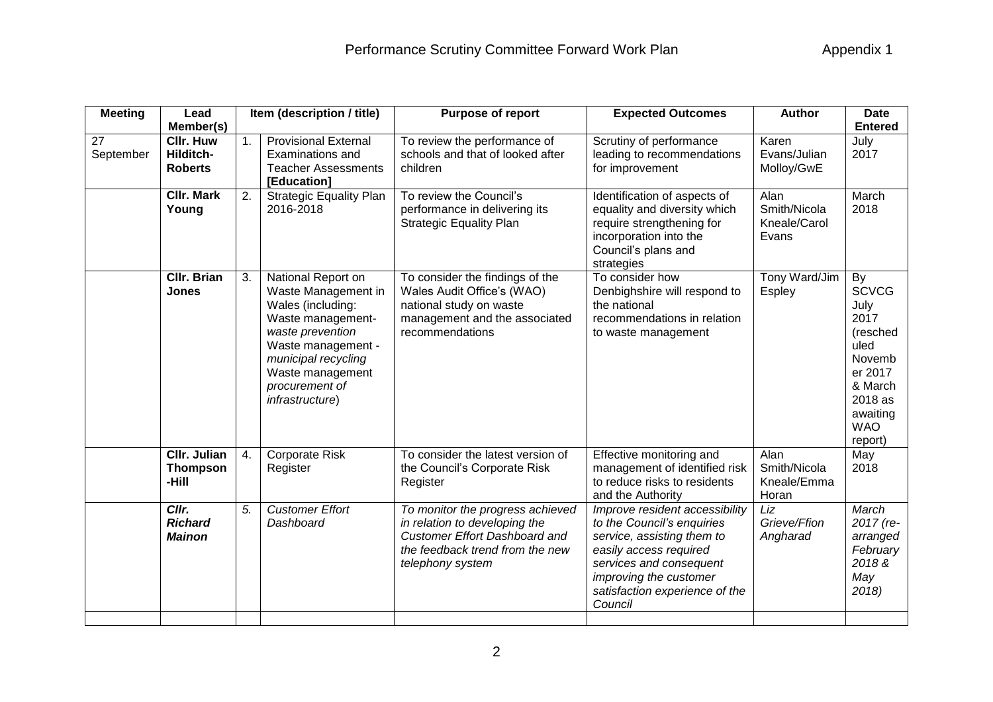| <b>Meeting</b>  | Lead                                                         |    | Item (description / title)                                                                                                                                                                                    | Purpose of report                                                                                                                                                | <b>Expected Outcomes</b>                                                                                                                                                                                               | <b>Author</b>                                 | <b>Date</b>                                                                                                                            |
|-----------------|--------------------------------------------------------------|----|---------------------------------------------------------------------------------------------------------------------------------------------------------------------------------------------------------------|------------------------------------------------------------------------------------------------------------------------------------------------------------------|------------------------------------------------------------------------------------------------------------------------------------------------------------------------------------------------------------------------|-----------------------------------------------|----------------------------------------------------------------------------------------------------------------------------------------|
| 27<br>September | Member(s)<br><b>CIIr. Huw</b><br>Hilditch-<br><b>Roberts</b> | 1. | <b>Provisional External</b><br>Examinations and<br><b>Teacher Assessments</b><br>[Education]                                                                                                                  | To review the performance of<br>schools and that of looked after<br>children                                                                                     | Scrutiny of performance<br>leading to recommendations<br>for improvement                                                                                                                                               | Karen<br>Evans/Julian<br>Molloy/GwE           | <b>Entered</b><br>July<br>2017                                                                                                         |
|                 | <b>CIIr. Mark</b><br>Young                                   | 2. | <b>Strategic Equality Plan</b><br>2016-2018                                                                                                                                                                   | To review the Council's<br>performance in delivering its<br><b>Strategic Equality Plan</b>                                                                       | Identification of aspects of<br>equality and diversity which<br>require strengthening for<br>incorporation into the<br>Council's plans and<br>strategies                                                               | Alan<br>Smith/Nicola<br>Kneale/Carol<br>Evans | March<br>2018                                                                                                                          |
|                 | <b>CIIr. Brian</b><br><b>Jones</b>                           | 3. | National Report on<br>Waste Management in<br>Wales (including:<br>Waste management-<br>waste prevention<br>Waste management -<br>municipal recycling<br>Waste management<br>procurement of<br>infrastructure) | To consider the findings of the<br>Wales Audit Office's (WAO)<br>national study on waste<br>management and the associated<br>recommendations                     | To consider how<br>Denbighshire will respond to<br>the national<br>recommendations in relation<br>to waste management                                                                                                  | Tony Ward/Jim<br><b>Espley</b>                | By<br><b>SCVCG</b><br>July<br>2017<br>(resched<br>uled<br>Novemb<br>er 2017<br>& March<br>2018 as<br>awaiting<br><b>WAO</b><br>report) |
|                 | <b>CIIr. Julian</b><br><b>Thompson</b><br>-Hill              | 4. | <b>Corporate Risk</b><br>Register                                                                                                                                                                             | To consider the latest version of<br>the Council's Corporate Risk<br>Register                                                                                    | Effective monitoring and<br>management of identified risk<br>to reduce risks to residents<br>and the Authority                                                                                                         | Alan<br>Smith/Nicola<br>Kneale/Emma<br>Horan  | May<br>2018                                                                                                                            |
|                 | Cllr.<br><b>Richard</b><br><b>Mainon</b>                     | 5. | <b>Customer Effort</b><br>Dashboard                                                                                                                                                                           | To monitor the progress achieved<br>in relation to developing the<br><b>Customer Effort Dashboard and</b><br>the feedback trend from the new<br>telephony system | Improve resident accessibility<br>to the Council's enquiries<br>service, assisting them to<br>easily access required<br>services and consequent<br>improving the customer<br>satisfaction experience of the<br>Council | Liz<br>Grieve/Ffion<br>Angharad               | March<br>2017 (re-<br>arranged<br>February<br>2018&<br>May<br>2018)                                                                    |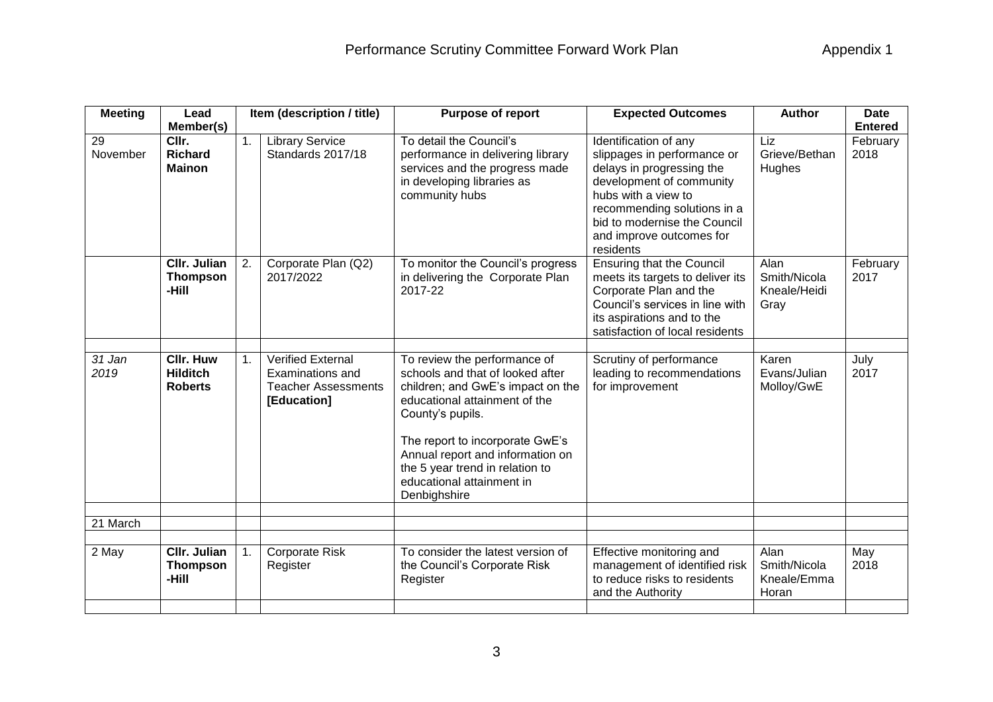| <b>Meeting</b> | Lead                                                  |    | Item (description / title)                                                                | <b>Purpose of report</b>                                                                                                                                                                                                                                                                                          | <b>Expected Outcomes</b>                                                                                                                                                                                                                     | <b>Author</b>                                | <b>Date</b>                        |
|----------------|-------------------------------------------------------|----|-------------------------------------------------------------------------------------------|-------------------------------------------------------------------------------------------------------------------------------------------------------------------------------------------------------------------------------------------------------------------------------------------------------------------|----------------------------------------------------------------------------------------------------------------------------------------------------------------------------------------------------------------------------------------------|----------------------------------------------|------------------------------------|
| 29<br>November | Member(s)<br>Cllr.<br><b>Richard</b><br><b>Mainon</b> | 1. | <b>Library Service</b><br>Standards 2017/18                                               | To detail the Council's<br>performance in delivering library<br>services and the progress made<br>in developing libraries as<br>community hubs                                                                                                                                                                    | Identification of any<br>slippages in performance or<br>delays in progressing the<br>development of community<br>hubs with a view to<br>recommending solutions in a<br>bid to modernise the Council<br>and improve outcomes for<br>residents | Liz<br>Grieve/Bethan<br>Hughes               | <b>Entered</b><br>February<br>2018 |
|                | <b>CIIr. Julian</b><br><b>Thompson</b><br>-Hill       | 2. | Corporate Plan (Q2)<br>2017/2022                                                          | To monitor the Council's progress<br>in delivering the Corporate Plan<br>2017-22                                                                                                                                                                                                                                  | <b>Ensuring that the Council</b><br>meets its targets to deliver its<br>Corporate Plan and the<br>Council's services in line with<br>its aspirations and to the<br>satisfaction of local residents                                           | Alan<br>Smith/Nicola<br>Kneale/Heidi<br>Gray | February<br>2017                   |
| 31 Jan<br>2019 | <b>CIIr. Huw</b><br><b>Hilditch</b><br><b>Roberts</b> | 1. | <b>Verified External</b><br>Examinations and<br><b>Teacher Assessments</b><br>[Education] | To review the performance of<br>schools and that of looked after<br>children; and GwE's impact on the<br>educational attainment of the<br>County's pupils.<br>The report to incorporate GwE's<br>Annual report and information on<br>the 5 year trend in relation to<br>educational attainment in<br>Denbighshire | Scrutiny of performance<br>leading to recommendations<br>for improvement                                                                                                                                                                     | Karen<br>Evans/Julian<br>Molloy/GwE          | July<br>2017                       |
| 21 March       |                                                       |    |                                                                                           |                                                                                                                                                                                                                                                                                                                   |                                                                                                                                                                                                                                              |                                              |                                    |
| 2 May          | <b>CIIr. Julian</b><br><b>Thompson</b><br>-Hill       | 1. | <b>Corporate Risk</b><br>Register                                                         | To consider the latest version of<br>the Council's Corporate Risk<br>Register                                                                                                                                                                                                                                     | Effective monitoring and<br>management of identified risk<br>to reduce risks to residents<br>and the Authority                                                                                                                               | Alan<br>Smith/Nicola<br>Kneale/Emma<br>Horan | May<br>2018                        |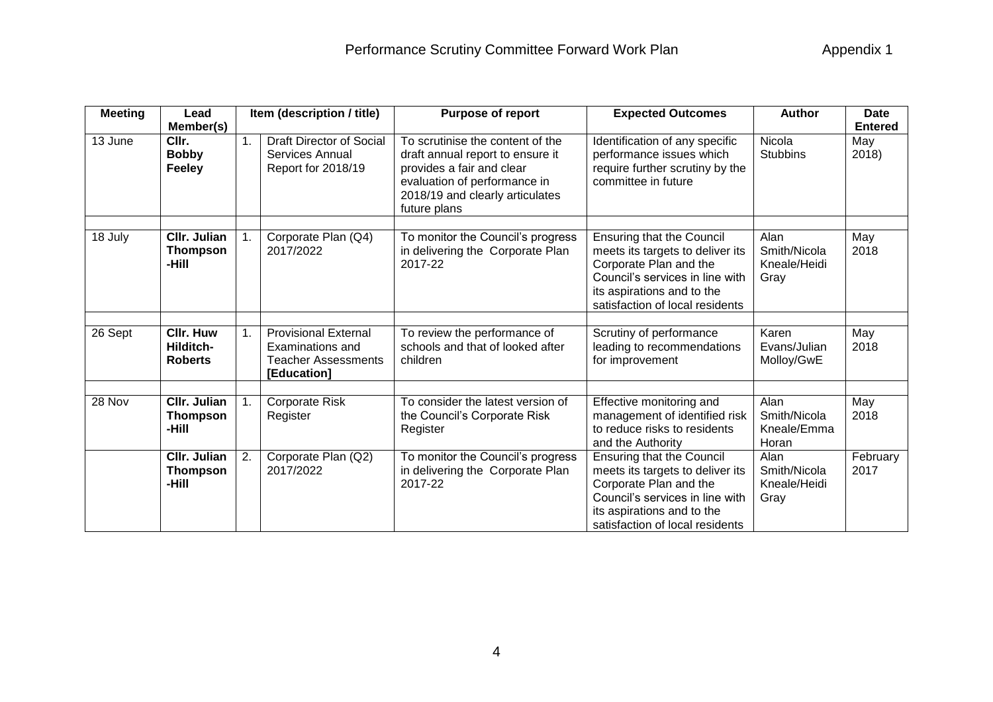| <b>Meeting</b> | Lead                                            |                | Item (description / title)                                                                   | <b>Purpose of report</b>                                                                                                                                                             | <b>Expected Outcomes</b>                                                                                                                                                                           | <b>Author</b>                                | <b>Date</b>      |
|----------------|-------------------------------------------------|----------------|----------------------------------------------------------------------------------------------|--------------------------------------------------------------------------------------------------------------------------------------------------------------------------------------|----------------------------------------------------------------------------------------------------------------------------------------------------------------------------------------------------|----------------------------------------------|------------------|
|                | Member(s)                                       |                |                                                                                              |                                                                                                                                                                                      |                                                                                                                                                                                                    |                                              | <b>Entered</b>   |
| 13 June        | CIIr.<br><b>Bobby</b><br><b>Feeley</b>          | 1 <sub>1</sub> | <b>Draft Director of Social</b><br>Services Annual<br>Report for 2018/19                     | To scrutinise the content of the<br>draft annual report to ensure it<br>provides a fair and clear<br>evaluation of performance in<br>2018/19 and clearly articulates<br>future plans | Identification of any specific<br>performance issues which<br>require further scrutiny by the<br>committee in future                                                                               | Nicola<br><b>Stubbins</b>                    | May<br>2018)     |
| 18 July        | CIIr. Julian<br><b>Thompson</b><br>-Hill        |                | Corporate Plan (Q4)<br>2017/2022                                                             | To monitor the Council's progress<br>in delivering the Corporate Plan<br>2017-22                                                                                                     | <b>Ensuring that the Council</b><br>meets its targets to deliver its<br>Corporate Plan and the<br>Council's services in line with<br>its aspirations and to the<br>satisfaction of local residents | Alan<br>Smith/Nicola<br>Kneale/Heidi<br>Gray | May<br>2018      |
| 26 Sept        | CIIr. Huw<br>Hilditch-<br><b>Roberts</b>        | 1 <sub>1</sub> | <b>Provisional External</b><br>Examinations and<br><b>Teacher Assessments</b><br>[Education] | To review the performance of<br>schools and that of looked after<br>children                                                                                                         | Scrutiny of performance<br>leading to recommendations<br>for improvement                                                                                                                           | Karen<br>Evans/Julian<br>Molloy/GwE          | May<br>2018      |
| 28 Nov         | CIIr. Julian<br><b>Thompson</b><br>-Hill        |                | Corporate Risk<br>Register                                                                   | To consider the latest version of<br>the Council's Corporate Risk<br>Register                                                                                                        | <b>Effective monitoring and</b><br>management of identified risk<br>to reduce risks to residents<br>and the Authority                                                                              | Alan<br>Smith/Nicola<br>Kneale/Emma<br>Horan | May<br>2018      |
|                | <b>CIIr. Julian</b><br><b>Thompson</b><br>-Hill | 2.             | Corporate Plan (Q2)<br>2017/2022                                                             | To monitor the Council's progress<br>in delivering the Corporate Plan<br>2017-22                                                                                                     | <b>Ensuring that the Council</b><br>meets its targets to deliver its<br>Corporate Plan and the<br>Council's services in line with<br>its aspirations and to the<br>satisfaction of local residents | Alan<br>Smith/Nicola<br>Kneale/Heidi<br>Gray | February<br>2017 |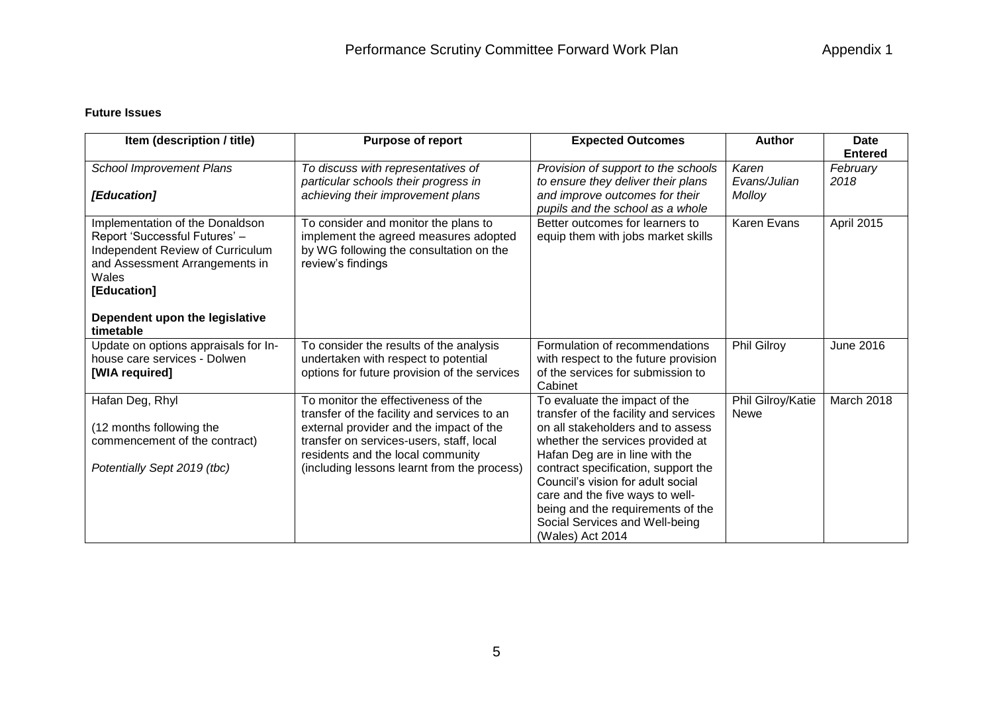## **Future Issues**

| Item (description / title)                                                                                                                                                                       | <b>Purpose of report</b>                                                                                                                                                                                                                                      | <b>Expected Outcomes</b>                                                                                                                                                                                                                                                                                                                                                                    | <b>Author</b>                    | <b>Date</b><br><b>Entered</b> |
|--------------------------------------------------------------------------------------------------------------------------------------------------------------------------------------------------|---------------------------------------------------------------------------------------------------------------------------------------------------------------------------------------------------------------------------------------------------------------|---------------------------------------------------------------------------------------------------------------------------------------------------------------------------------------------------------------------------------------------------------------------------------------------------------------------------------------------------------------------------------------------|----------------------------------|-------------------------------|
| <b>School Improvement Plans</b><br>[Education]                                                                                                                                                   | To discuss with representatives of<br>particular schools their progress in<br>achieving their improvement plans                                                                                                                                               | Provision of support to the schools<br>to ensure they deliver their plans<br>and improve outcomes for their<br>pupils and the school as a whole                                                                                                                                                                                                                                             | Karen<br>Evans/Julian<br>Molloy  | February<br>2018              |
| Implementation of the Donaldson<br>Report 'Successful Futures' -<br>Independent Review of Curriculum<br>and Assessment Arrangements in<br>Wales<br>[Education]<br>Dependent upon the legislative | To consider and monitor the plans to<br>implement the agreed measures adopted<br>by WG following the consultation on the<br>review's findings                                                                                                                 | Better outcomes for learners to<br>equip them with jobs market skills                                                                                                                                                                                                                                                                                                                       | Karen Evans                      | April 2015                    |
| timetable<br>Update on options appraisals for In-<br>house care services - Dolwen<br>[WIA required]                                                                                              | To consider the results of the analysis<br>undertaken with respect to potential<br>options for future provision of the services                                                                                                                               | Formulation of recommendations<br>with respect to the future provision<br>of the services for submission to<br>Cabinet                                                                                                                                                                                                                                                                      | Phil Gilroy                      | June 2016                     |
| Hafan Deg, Rhyl<br>(12 months following the<br>commencement of the contract)<br>Potentially Sept 2019 (tbc)                                                                                      | To monitor the effectiveness of the<br>transfer of the facility and services to an<br>external provider and the impact of the<br>transfer on services-users, staff, local<br>residents and the local community<br>(including lessons learnt from the process) | To evaluate the impact of the<br>transfer of the facility and services<br>on all stakeholders and to assess<br>whether the services provided at<br>Hafan Deg are in line with the<br>contract specification, support the<br>Council's vision for adult social<br>care and the five ways to well-<br>being and the requirements of the<br>Social Services and Well-being<br>(Wales) Act 2014 | Phil Gilroy/Katie<br><b>Newe</b> | March 2018                    |